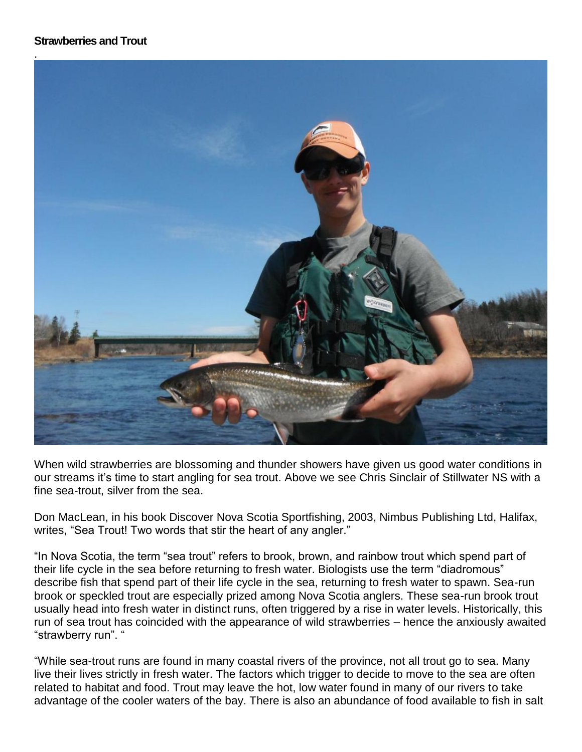## **Strawberries and Trout**



When wild strawberries are blossoming and thunder showers have given us good water conditions in our streams it's time to start angling for sea trout. Above we see Chris Sinclair of Stillwater NS with a fine sea-trout, silver from the sea.

Don MacLean, in his book Discover Nova Scotia Sportfishing, 2003, Nimbus Publishing Ltd, Halifax, writes, "Sea Trout! Two words that stir the heart of any angler."

"In Nova Scotia, the term "sea trout" refers to brook, brown, and rainbow trout which spend part of their life cycle in the sea before returning to fresh water. Biologists use the term "diadromous" describe fish that spend part of their life cycle in the sea, returning to fresh water to spawn. Sea-run brook or speckled trout are especially prized among Nova Scotia anglers. These sea-run brook trout usually head into fresh water in distinct runs, often triggered by a rise in water levels. Historically, this run of sea trout has coincided with the appearance of wild strawberries – hence the anxiously awaited "strawberry run". "

"While sea-trout runs are found in many coastal rivers of the province, not all trout go to sea. Many live their lives strictly in fresh water. The factors which trigger to decide to move to the sea are often related to habitat and food. Trout may leave the hot, low water found in many of our rivers to take advantage of the cooler waters of the bay. There is also an abundance of food available to fish in salt